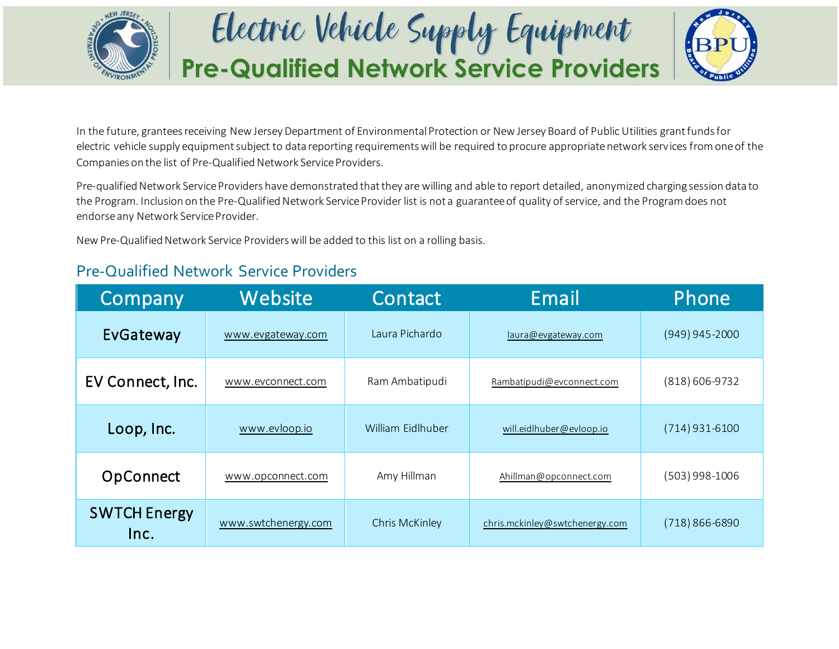

## Electric Vehicle Supply Equipment **Pre-Qualified Network Service Providers**



In the future, grantees receiving New Jersey Department of Environmental Protection or New Jersey Board of Public Utilities grant funds for electric vehicle supply equipment subject to data reporting requirements will be required to procure appropriate network services from one of the Companies on the list of Pre-Qualified Network Service Providers.

Pre-qualified Network Service Providers have demonstrated that they are willing and able to report detailed, anonymized charging session data to the Program. Inclusion on the Pre-Qualified Network Service Provider list is not a guarantee of quality of service, and the Program does not endorse any Network Service Provider.

New Pre-Qualified Network Service Providers will be added to this list on a rolling basis.

## Pre-Qualified Network Service Providers

| Company                     | Website             | Contact           | Email                          | Phone            |
|-----------------------------|---------------------|-------------------|--------------------------------|------------------|
| EvGateway                   | www.evgateway.com   | Laura Pichardo    | laura@evgateway.com            | $(949)$ 945-2000 |
| EV Connect, Inc.            | www.evconnect.com   | Ram Ambatipudi    | Rambatipudi@evconnect.com      | $(818)$ 606-9732 |
| Loop, Inc.                  | www.evloop.io       | William Eidlhuber | will.eidlhuber@evloop.io       | $(714)$ 931-6100 |
| OpConnect                   | www.opconnect.com   | Amy Hillman       | Ahillman@opconnect.com         | $(503)$ 998-1006 |
| <b>SWTCH Energy</b><br>Inc. | www.swtchenergy.com | Chris McKinley    | chris.mckinley@swtchenergy.com | (718) 866-6890   |